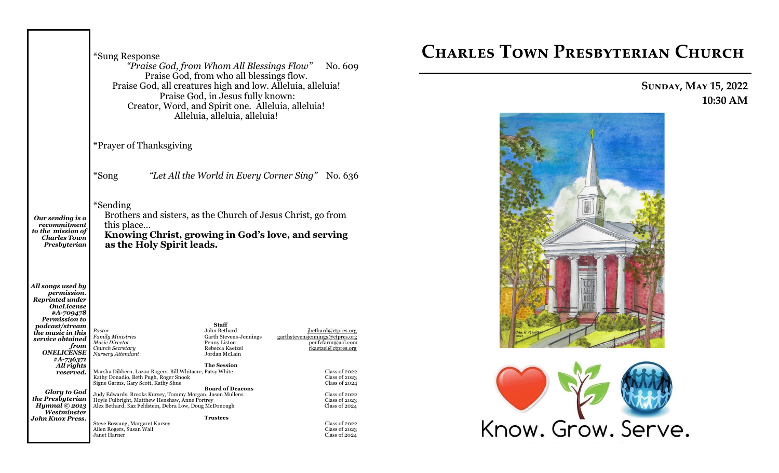|                                                                                                                                                                                                                                                                                                                                                                     | *Sung Response<br>"Praise God, from Whom All Blessings Flow"<br>No. 609<br>Praise God, from who all blessings flow.<br>Praise God, all creatures high and low. Alleluia, alleluia!<br>Praise God, in Jesus fully known:<br>Creator, Word, and Spirit one. Alleluia, alleluia!<br>Alleluia, alleluia, alleluia!                                                                                                                                      |                                                                                                                                                                                |                                                                                                                                                                                                                           |
|---------------------------------------------------------------------------------------------------------------------------------------------------------------------------------------------------------------------------------------------------------------------------------------------------------------------------------------------------------------------|-----------------------------------------------------------------------------------------------------------------------------------------------------------------------------------------------------------------------------------------------------------------------------------------------------------------------------------------------------------------------------------------------------------------------------------------------------|--------------------------------------------------------------------------------------------------------------------------------------------------------------------------------|---------------------------------------------------------------------------------------------------------------------------------------------------------------------------------------------------------------------------|
|                                                                                                                                                                                                                                                                                                                                                                     | <i>*Prayer of Thanksgiving</i>                                                                                                                                                                                                                                                                                                                                                                                                                      |                                                                                                                                                                                |                                                                                                                                                                                                                           |
|                                                                                                                                                                                                                                                                                                                                                                     | *Song                                                                                                                                                                                                                                                                                                                                                                                                                                               |                                                                                                                                                                                | "Let All the World in Every Corner Sing" No. 636                                                                                                                                                                          |
| Our sending is a<br>recommitment<br>to the mission of<br><b>Charles Town</b><br>Presbyterian                                                                                                                                                                                                                                                                        | *Sending*<br>Brothers and sisters, as the Church of Jesus Christ, go from<br>this place<br>Knowing Christ, growing in God's love, and serving<br>as the Holy Spirit leads.                                                                                                                                                                                                                                                                          |                                                                                                                                                                                |                                                                                                                                                                                                                           |
| All songs used by<br><i>permission.</i><br><b>Reprinted under</b><br><b>OneLicense</b><br>#A-709478<br><b>Permission to</b><br>podcast/stream<br>the music in this<br>service obtained<br>from<br><b>ONELICENSE</b><br>#A-736371<br><b>All rights</b><br>reserved.<br><b>Glory to God</b><br>the Presbyterian<br>Hymnal $@$ 2013<br>Westminster<br>John Knox Press. | Pastor<br><b>Family Ministries</b><br>Music Director<br>Church Secretary<br>Nursery Attendant<br>Marsha Dibbern, Lazan Rogers, Bill Whitacre, Patsy White<br>Kathy Donadio, Beth Pugh, Roger Snook<br>Signe Garms, Gary Scott, Kathy Shue<br>Judy Edwards, Brooks Kursey, Tommy Morgan, Jason Mullens<br>Hoyle Fulbright, Matthew Henshaw, Anne Portrey<br>Alex Bethard, Kaz Feldstein, Debra Low, Doug McDonough<br>Steve Bossung, Margaret Kursey | <b>Staff</b><br>John Bethard<br>Garth Stevens-Jennings<br>Penny Liston<br>Rebecca Kaetzel<br>Jordan McLain<br><b>The Session</b><br><b>Board of Deacons</b><br><b>Trustees</b> | jbethard@ctpres.org<br>garthstevensiennings@ctpres.org<br>penfyfarm@aol.com<br>rkaetzel@ctpres.org<br>Class of 2022<br>Class of 2023<br>Class of 2024<br>Class of 2022<br>Class of 2023<br>Class of 2024<br>Class of 2022 |
|                                                                                                                                                                                                                                                                                                                                                                     | Allen Rogers, Susan Wall<br>Janet Harner                                                                                                                                                                                                                                                                                                                                                                                                            |                                                                                                                                                                                | Class of 2023<br>Class of 2024                                                                                                                                                                                            |

# **Charles Town Presbyterian Church**

# **Sunday, May 15, 2022 10:30 AM**



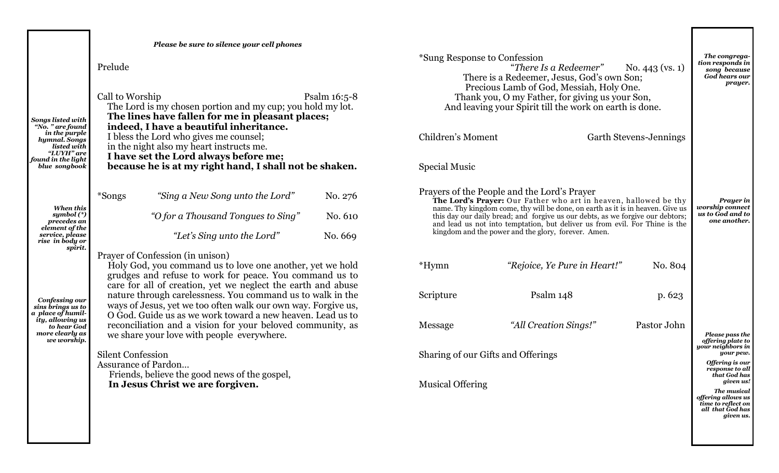|                                                                                                                                             | Please be sure to silence your cell phones                                                                                                                                                                                                                                                                                                              |                               |                                                                                                                                                                                                                                                                                                                                                                                                                           |                                                                                                                                                                                                                               |                   |                                                                                                                                                                                               |
|---------------------------------------------------------------------------------------------------------------------------------------------|---------------------------------------------------------------------------------------------------------------------------------------------------------------------------------------------------------------------------------------------------------------------------------------------------------------------------------------------------------|-------------------------------|---------------------------------------------------------------------------------------------------------------------------------------------------------------------------------------------------------------------------------------------------------------------------------------------------------------------------------------------------------------------------------------------------------------------------|-------------------------------------------------------------------------------------------------------------------------------------------------------------------------------------------------------------------------------|-------------------|-----------------------------------------------------------------------------------------------------------------------------------------------------------------------------------------------|
|                                                                                                                                             | Prelude<br>Call to Worship<br>The Lord is my chosen portion and my cup; you hold my lot.<br>The lines have fallen for me in pleasant places;                                                                                                                                                                                                            | Psalm 16:5-8                  | *Sung Response to Confession                                                                                                                                                                                                                                                                                                                                                                                              | "There Is a Redeemer"<br>There is a Redeemer, Jesus, God's own Son;<br>Precious Lamb of God, Messiah, Holy One.<br>Thank you, O my Father, for giving us your Son,<br>And leaving your Spirit till the work on earth is done. | No. $443$ (vs. 1) | The congrega-<br>tion responds in<br>song because<br><b>God hears our</b><br>prayer.                                                                                                          |
| Songs listed with<br>"No. " are found<br>in the purple<br>hymnal. Songs<br>listed with<br>"LUYH" are<br>found in the light<br>blue songbook | indeed, I have a beautiful inheritance.<br>I bless the Lord who gives me counsel;<br>in the night also my heart instructs me.<br>I have set the Lord always before me;<br>because he is at my right hand, I shall not be shaken.                                                                                                                        |                               | Children's Moment<br><b>Special Music</b>                                                                                                                                                                                                                                                                                                                                                                                 | <b>Garth Stevens-Jennings</b>                                                                                                                                                                                                 |                   |                                                                                                                                                                                               |
| When this<br>symbol $(*)$<br>precedes an<br>element of the<br>service, please<br>rise in body or                                            | "Sing a New Song unto the Lord"<br>*Songs<br>"O for a Thousand Tongues to Sing"<br>"Let's Sing unto the Lord"                                                                                                                                                                                                                                           | No. 276<br>No. 610<br>No. 669 | Prayers of the People and the Lord's Prayer<br>The Lord's Prayer: Our Father who art in heaven, hallowed be thy<br>name. Thy kingdom come, thy will be done, on earth as it is in heaven. Give us<br>this day our daily bread; and forgive us our debts, as we forgive our debtors;<br>and lead us not into temptation, but deliver us from evil. For Thine is the<br>kingdom and the power and the glory, forever. Amen. |                                                                                                                                                                                                                               |                   | Prayer in<br>worship connect<br>us to God and to<br>one another.                                                                                                                              |
| spirit.<br><b>Confessing our</b><br>sins brings us to                                                                                       | Prayer of Confession (in unison)<br>Holy God, you command us to love one another, yet we hold<br>grudges and refuse to work for peace. You command us to<br>care for all of creation, yet we neglect the earth and abuse<br>nature through carelessness. You command us to walk in the<br>ways of Jesus, yet we too often walk our own way. Forgive us, |                               | *Hymn<br>Scripture                                                                                                                                                                                                                                                                                                                                                                                                        | "Rejoice, Ye Pure in Heart!"<br>Psalm 148                                                                                                                                                                                     | No. 804<br>p.623  |                                                                                                                                                                                               |
| a  place of humil-<br>ity, allowing us<br>to hear God<br>more clearly as<br>we worship.                                                     | O God. Guide us as we work toward a new heaven. Lead us to<br>reconciliation and a vision for your beloved community, as<br>we share your love with people everywhere.                                                                                                                                                                                  |                               | Message                                                                                                                                                                                                                                                                                                                                                                                                                   | "All Creation Sings!"                                                                                                                                                                                                         | Pastor John       | Please pass the<br>offering plate to                                                                                                                                                          |
|                                                                                                                                             | <b>Silent Confession</b><br><b>Assurance of Pardon</b><br>Friends, believe the good news of the gospel,<br>In Jesus Christ we are forgiven.                                                                                                                                                                                                             |                               | Sharing of our Gifts and Offerings<br><b>Musical Offering</b>                                                                                                                                                                                                                                                                                                                                                             |                                                                                                                                                                                                                               |                   | your neighbors in<br>your pew.<br>Offering is our<br>response to all<br>that God has<br>given us!<br>The musical<br>offering allows us<br>time to reflect on<br>all that God has<br>given us. |
|                                                                                                                                             |                                                                                                                                                                                                                                                                                                                                                         |                               |                                                                                                                                                                                                                                                                                                                                                                                                                           |                                                                                                                                                                                                                               |                   |                                                                                                                                                                                               |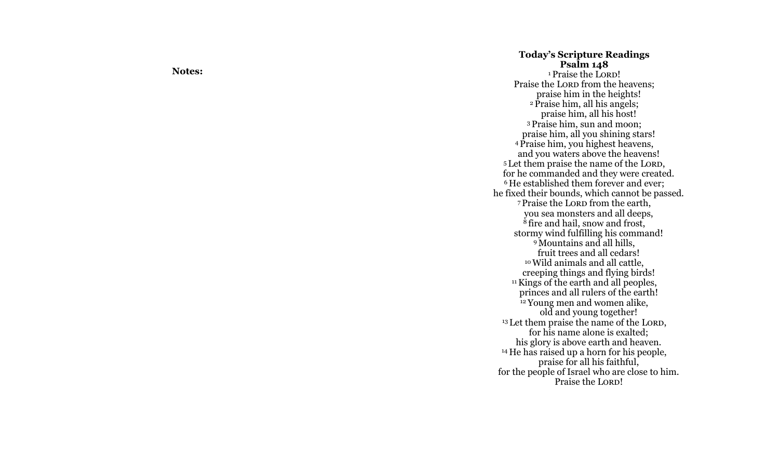**Notes:**

### **Today 's Scripture Readings Psalm 148**

<sup>1</sup> Praise the LORD! Praise the LORD from the heavens; praise him in the heights! <sup>2</sup> Praise him, all his angels; praise him, all his host! <sup>3</sup> Praise him, sun and moon; praise him, all you shining stars! <sup>4</sup>Praise him, you highest heavens, and you waters above the heavens! <sup>5</sup> Let them praise the name of the LORD, for he commanded and they were created. <sup>6</sup> He established them forever and ever; he fixed their bounds, which cannot be passed. 7 Praise the LORD from the earth, you sea monsters and all deeps, <sup>8</sup> fire and hail, snow and frost, stormy wind fulfilling his command! <sup>9</sup>Mountains and all hills, fruit trees and all cedars! <sup>10</sup>Wild animals and all cattle, creeping things and flying birds! <sup>11</sup> Kings of the earth and all peoples, princes and all rulers of the earth! <sup>12</sup> Young men and women alike, old and young together!  $13$  Let them praise the name of the LORD, for his name alone is exalted; his glory is above earth and heaven. <sup>14</sup> He has raised up a horn for his people, praise for all his faithful, for the people of Israel who are close to him. Praise the LORD!